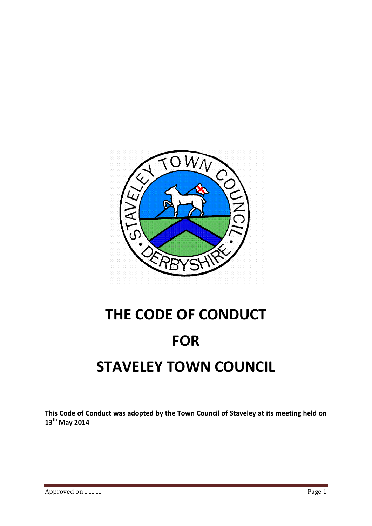

# **THE CODE OF CONDUCT FOR STAVELEY TOWN COUNCIL**

**This Code of Conduct was adopted by the Town Council of Staveley at its meeting held on 13 th May 2014**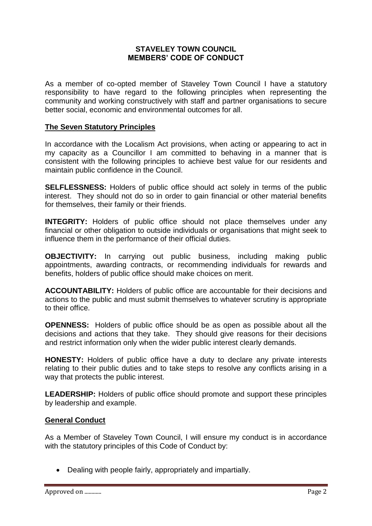## **STAVELEY TOWN COUNCIL MEMBERS' CODE OF CONDUCT**

As a member of co-opted member of Staveley Town Council I have a statutory responsibility to have regard to the following principles when representing the community and working constructively with staff and partner organisations to secure better social, economic and environmental outcomes for all.

#### **The Seven Statutory Principles**

In accordance with the Localism Act provisions, when acting or appearing to act in my capacity as a Councillor I am committed to behaving in a manner that is consistent with the following principles to achieve best value for our residents and maintain public confidence in the Council.

**SELFLESSNESS:** Holders of public office should act solely in terms of the public interest. They should not do so in order to gain financial or other material benefits for themselves, their family or their friends.

**INTEGRITY:** Holders of public office should not place themselves under any financial or other obligation to outside individuals or organisations that might seek to influence them in the performance of their official duties.

**OBJECTIVITY:** In carrying out public business, including making public appointments, awarding contracts, or recommending individuals for rewards and benefits, holders of public office should make choices on merit.

**ACCOUNTABILITY:** Holders of public office are accountable for their decisions and actions to the public and must submit themselves to whatever scrutiny is appropriate to their office.

**OPENNESS:** Holders of public office should be as open as possible about all the decisions and actions that they take. They should give reasons for their decisions and restrict information only when the wider public interest clearly demands.

**HONESTY:** Holders of public office have a duty to declare any private interests relating to their public duties and to take steps to resolve any conflicts arising in a way that protects the public interest.

**LEADERSHIP:** Holders of public office should promote and support these principles by leadership and example.

#### **General Conduct**

As a Member of Staveley Town Council, I will ensure my conduct is in accordance with the statutory principles of this Code of Conduct by:

Dealing with people fairly, appropriately and impartially.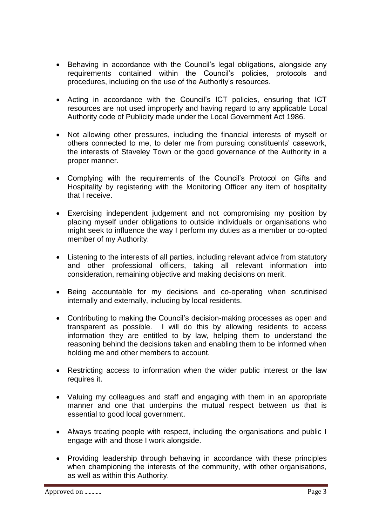- Behaving in accordance with the Council's legal obligations, alongside any requirements contained within the Council's policies, protocols and procedures, including on the use of the Authority's resources.
- Acting in accordance with the Council's ICT policies, ensuring that ICT resources are not used improperly and having regard to any applicable Local Authority code of Publicity made under the Local Government Act 1986.
- Not allowing other pressures, including the financial interests of myself or others connected to me, to deter me from pursuing constituents' casework, the interests of Staveley Town or the good governance of the Authority in a proper manner.
- Complying with the requirements of the Council's Protocol on Gifts and Hospitality by registering with the Monitoring Officer any item of hospitality that I receive.
- Exercising independent judgement and not compromising my position by placing myself under obligations to outside individuals or organisations who might seek to influence the way I perform my duties as a member or co-opted member of my Authority.
- Listening to the interests of all parties, including relevant advice from statutory and other professional officers, taking all relevant information into consideration, remaining objective and making decisions on merit.
- Being accountable for my decisions and co-operating when scrutinised internally and externally, including by local residents.
- Contributing to making the Council's decision-making processes as open and transparent as possible. I will do this by allowing residents to access information they are entitled to by law, helping them to understand the reasoning behind the decisions taken and enabling them to be informed when holding me and other members to account.
- Restricting access to information when the wider public interest or the law requires it.
- Valuing my colleagues and staff and engaging with them in an appropriate manner and one that underpins the mutual respect between us that is essential to good local government.
- Always treating people with respect, including the organisations and public I engage with and those I work alongside.
- Providing leadership through behaving in accordance with these principles when championing the interests of the community, with other organisations, as well as within this Authority.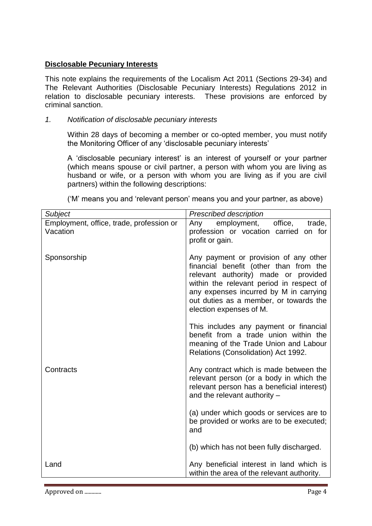# **Disclosable Pecuniary Interests**

This note explains the requirements of the Localism Act 2011 (Sections 29-34) and The Relevant Authorities (Disclosable Pecuniary Interests) Regulations 2012 in relation to disclosable pecuniary interests. These provisions are enforced by criminal sanction.

# *1. Notification of disclosable pecuniary interests*

Within 28 days of becoming a member or co-opted member, you must notify the Monitoring Officer of any 'disclosable pecuniary interests'

A 'disclosable pecuniary interest' is an interest of yourself or your partner (which means spouse or civil partner, a person with whom you are living as husband or wife, or a person with whom you are living as if you are civil partners) within the following descriptions:

('M' means you and 'relevant person' means you and your partner, as above)

| Subject                                              | <b>Prescribed description</b>                                                                                                                                                                                                                                                      |
|------------------------------------------------------|------------------------------------------------------------------------------------------------------------------------------------------------------------------------------------------------------------------------------------------------------------------------------------|
| Employment, office, trade, profession or<br>Vacation | Any employment, office, trade,<br>profession or vocation carried on for<br>profit or gain.                                                                                                                                                                                         |
| Sponsorship                                          | Any payment or provision of any other<br>financial benefit (other than from the<br>relevant authority) made or provided<br>within the relevant period in respect of<br>any expenses incurred by M in carrying<br>out duties as a member, or towards the<br>election expenses of M. |
|                                                      | This includes any payment or financial<br>benefit from a trade union within the<br>meaning of the Trade Union and Labour<br>Relations (Consolidation) Act 1992.                                                                                                                    |
| Contracts                                            | Any contract which is made between the<br>relevant person (or a body in which the<br>relevant person has a beneficial interest)<br>and the relevant authority $-$                                                                                                                  |
|                                                      | (a) under which goods or services are to<br>be provided or works are to be executed;<br>and                                                                                                                                                                                        |
|                                                      | (b) which has not been fully discharged.                                                                                                                                                                                                                                           |
| Land                                                 | Any beneficial interest in land which is<br>within the area of the relevant authority.                                                                                                                                                                                             |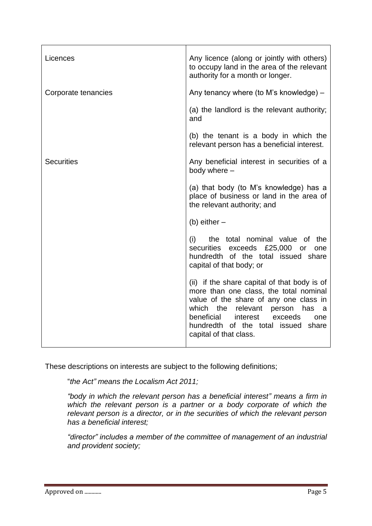| Licences            | Any licence (along or jointly with others)<br>to occupy land in the area of the relevant<br>authority for a month or longer.                                                                                                                                                              |
|---------------------|-------------------------------------------------------------------------------------------------------------------------------------------------------------------------------------------------------------------------------------------------------------------------------------------|
| Corporate tenancies | Any tenancy where (to M's knowledge) –                                                                                                                                                                                                                                                    |
|                     | (a) the landlord is the relevant authority;<br>and                                                                                                                                                                                                                                        |
|                     | (b) the tenant is a body in which the<br>relevant person has a beneficial interest.                                                                                                                                                                                                       |
| <b>Securities</b>   | Any beneficial interest in securities of a<br>body where -                                                                                                                                                                                                                                |
|                     | (a) that body (to M's knowledge) has a<br>place of business or land in the area of<br>the relevant authority; and                                                                                                                                                                         |
|                     | (b) either $-$                                                                                                                                                                                                                                                                            |
|                     | the total nominal value of the<br>(i)<br>securities<br>exceeds £25,000<br><b>or</b><br>one<br>hundredth of the total issued share<br>capital of that body; or                                                                                                                             |
|                     | (ii) if the share capital of that body is of<br>more than one class, the total nominal<br>value of the share of any one class in<br>which the<br>relevant<br>person has<br>a<br>beneficial<br>interest<br>exceeds<br>one<br>hundredth of the total issued share<br>capital of that class. |

These descriptions on interests are subject to the following definitions;

"*the Act" means the Localism Act 2011;*

*"body in which the relevant person has a beneficial interest" means a firm in*  which the relevant person is a partner or a body corporate of which the *relevant person is a director, or in the securities of which the relevant person has a beneficial interest;*

*"director" includes a member of the committee of management of an industrial and provident society;*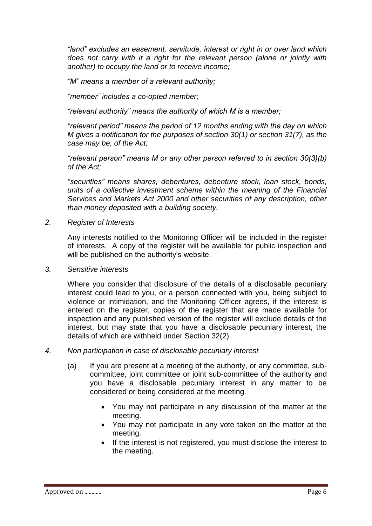*"land" excludes an easement, servitude, interest or right in or over land which does not carry with it a right for the relevant person (alone or jointly with another) to occupy the land or to receive income;*

*"M" means a member of a relevant authority;*

*"member" includes a co-opted member;*

*"relevant authority" means the authority of which M is a member;*

*"relevant period" means the period of 12 months ending with the day on which M gives a notification for the purposes of section 30(1) or section 31(7), as the case may be, of the Act;*

*"relevant person" means M or any other person referred to in section 30(3)(b) of the Act;*

*"securities" means shares, debentures, debenture stock, loan stock, bonds, units of a collective investment scheme within the meaning of the Financial Services and Markets Act 2000 and other securities of any description, other than money deposited with a building society.*

*2. Register of Interests*

Any interests notified to the Monitoring Officer will be included in the register of interests. A copy of the register will be available for public inspection and will be published on the authority's website.

*3. Sensitive interests*

Where you consider that disclosure of the details of a disclosable pecuniary interest could lead to you, or a person connected with you, being subject to violence or intimidation, and the Monitoring Officer agrees, if the interest is entered on the register, copies of the register that are made available for inspection and any published version of the register will exclude details of the interest, but may state that you have a disclosable pecuniary interest, the details of which are withheld under Section 32(2).

- *4. Non participation in case of disclosable pecuniary interest*
	- (a) If you are present at a meeting of the authority, or any committee, subcommittee, joint committee or joint sub-committee of the authority and you have a disclosable pecuniary interest in any matter to be considered or being considered at the meeting.
		- You may not participate in any discussion of the matter at the meeting.
		- You may not participate in any vote taken on the matter at the meeting.
		- If the interest is not registered, you must disclose the interest to the meeting.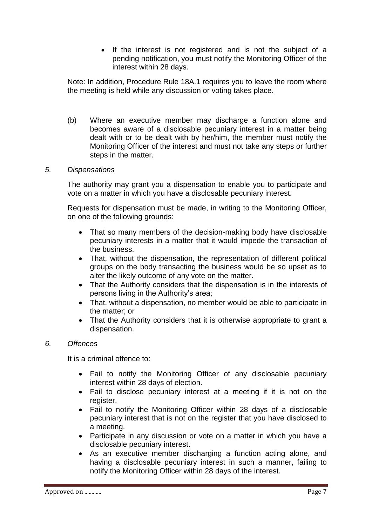• If the interest is not registered and is not the subject of a pending notification, you must notify the Monitoring Officer of the interest within 28 days.

Note: In addition, Procedure Rule 18A.1 requires you to leave the room where the meeting is held while any discussion or voting takes place.

- (b) Where an executive member may discharge a function alone and becomes aware of a disclosable pecuniary interest in a matter being dealt with or to be dealt with by her/him, the member must notify the Monitoring Officer of the interest and must not take any steps or further steps in the matter.
- *5. Dispensations*

The authority may grant you a dispensation to enable you to participate and vote on a matter in which you have a disclosable pecuniary interest.

Requests for dispensation must be made, in writing to the Monitoring Officer, on one of the following grounds:

- That so many members of the decision-making body have disclosable pecuniary interests in a matter that it would impede the transaction of the business.
- That, without the dispensation, the representation of different political groups on the body transacting the business would be so upset as to alter the likely outcome of any vote on the matter.
- That the Authority considers that the dispensation is in the interests of persons living in the Authority's area;
- That, without a dispensation, no member would be able to participate in the matter; or
- That the Authority considers that it is otherwise appropriate to grant a dispensation.

## *6. Offences*

It is a criminal offence to:

- Fail to notify the Monitoring Officer of any disclosable pecuniary interest within 28 days of election.
- Fail to disclose pecuniary interest at a meeting if it is not on the register.
- Fail to notify the Monitoring Officer within 28 days of a disclosable pecuniary interest that is not on the register that you have disclosed to a meeting.
- Participate in any discussion or vote on a matter in which you have a disclosable pecuniary interest.
- As an executive member discharging a function acting alone, and having a disclosable pecuniary interest in such a manner, failing to notify the Monitoring Officer within 28 days of the interest.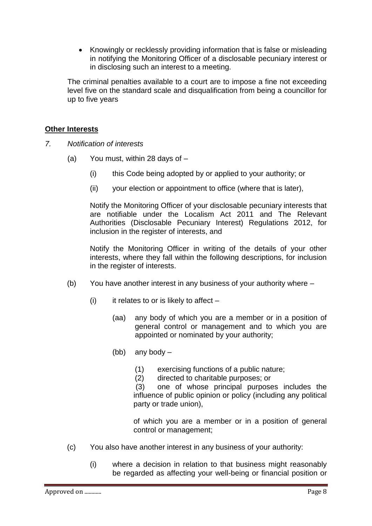• Knowingly or recklessly providing information that is false or misleading in notifying the Monitoring Officer of a disclosable pecuniary interest or in disclosing such an interest to a meeting.

The criminal penalties available to a court are to impose a fine not exceeding level five on the standard scale and disqualification from being a councillor for up to five years

# **Other Interests**

- *7. Notification of interests*
	- (a) You must, within 28 days of
		- (i) this Code being adopted by or applied to your authority; or
		- (ii) your election or appointment to office (where that is later),

Notify the Monitoring Officer of your disclosable pecuniary interests that are notifiable under the Localism Act 2011 and The Relevant Authorities (Disclosable Pecuniary Interest) Regulations 2012, for inclusion in the register of interests, and

Notify the Monitoring Officer in writing of the details of your other interests, where they fall within the following descriptions, for inclusion in the register of interests.

- (b) You have another interest in any business of your authority where
	- (i) it relates to or is likely to affect  $-$ 
		- (aa) any body of which you are a member or in a position of general control or management and to which you are appointed or nominated by your authority;
		- (bb) any body
			- (1) exercising functions of a public nature;
			- (2) directed to charitable purposes; or

(3) one of whose principal purposes includes the influence of public opinion or policy (including any political party or trade union),

of which you are a member or in a position of general control or management;

- (c) You also have another interest in any business of your authority:
	- (i) where a decision in relation to that business might reasonably be regarded as affecting your well-being or financial position or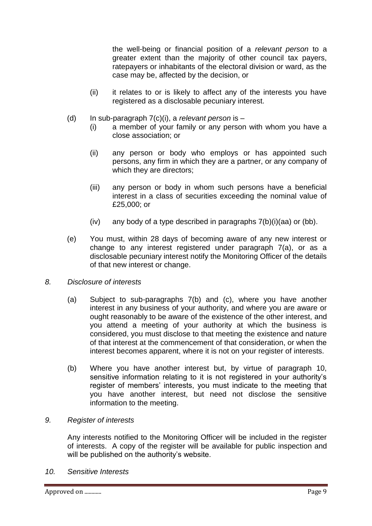the well-being or financial position of a *relevant person* to a greater extent than the majority of other council tax payers, ratepayers or inhabitants of the electoral division or ward, as the case may be, affected by the decision, or

- (ii) it relates to or is likely to affect any of the interests you have registered as a disclosable pecuniary interest.
- (d) In sub-paragraph 7(c)(i), a *relevant person* is
	- (i) a member of your family or any person with whom you have a close association; or
	- (ii) any person or body who employs or has appointed such persons, any firm in which they are a partner, or any company of which they are directors;
	- (iii) any person or body in whom such persons have a beneficial interest in a class of securities exceeding the nominal value of £25,000; or
	- (iv) any body of a type described in paragraphs  $7(b)(i)(aa)$  or (bb).
- (e) You must, within 28 days of becoming aware of any new interest or change to any interest registered under paragraph 7(a), or as a disclosable pecuniary interest notify the Monitoring Officer of the details of that new interest or change.
- *8. Disclosure of interests*
	- (a) Subject to sub-paragraphs 7(b) and (c), where you have another interest in any business of your authority, and where you are aware or ought reasonably to be aware of the existence of the other interest, and you attend a meeting of your authority at which the business is considered, you must disclose to that meeting the existence and nature of that interest at the commencement of that consideration, or when the interest becomes apparent, where it is not on your register of interests.
	- (b) Where you have another interest but, by virtue of paragraph 10, sensitive information relating to it is not registered in your authority's register of members' interests, you must indicate to the meeting that you have another interest, but need not disclose the sensitive information to the meeting.

## *9. Register of interests*

Any interests notified to the Monitoring Officer will be included in the register of interests. A copy of the register will be available for public inspection and will be published on the authority's website.

*10. Sensitive Interests*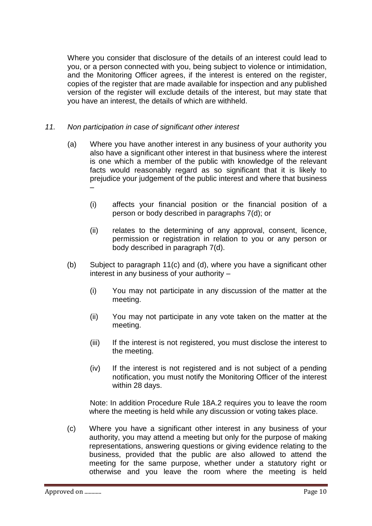Where you consider that disclosure of the details of an interest could lead to you, or a person connected with you, being subject to violence or intimidation, and the Monitoring Officer agrees, if the interest is entered on the register, copies of the register that are made available for inspection and any published version of the register will exclude details of the interest, but may state that you have an interest, the details of which are withheld.

# *11. Non participation in case of significant other interest*

- (a) Where you have another interest in any business of your authority you also have a significant other interest in that business where the interest is one which a member of the public with knowledge of the relevant facts would reasonably regard as so significant that it is likely to prejudice your judgement of the public interest and where that business –
	- (i) affects your financial position or the financial position of a person or body described in paragraphs 7(d); or
	- (ii) relates to the determining of any approval, consent, licence, permission or registration in relation to you or any person or body described in paragraph 7(d).
- (b) Subject to paragraph 11(c) and (d), where you have a significant other interest in any business of your authority –
	- (i) You may not participate in any discussion of the matter at the meeting.
	- (ii) You may not participate in any vote taken on the matter at the meeting.
	- (iii) If the interest is not registered, you must disclose the interest to the meeting.
	- (iv) If the interest is not registered and is not subject of a pending notification, you must notify the Monitoring Officer of the interest within 28 days.

Note: In addition Procedure Rule 18A.2 requires you to leave the room where the meeting is held while any discussion or voting takes place.

(c) Where you have a significant other interest in any business of your authority, you may attend a meeting but only for the purpose of making representations, answering questions or giving evidence relating to the business, provided that the public are also allowed to attend the meeting for the same purpose, whether under a statutory right or otherwise and you leave the room where the meeting is held